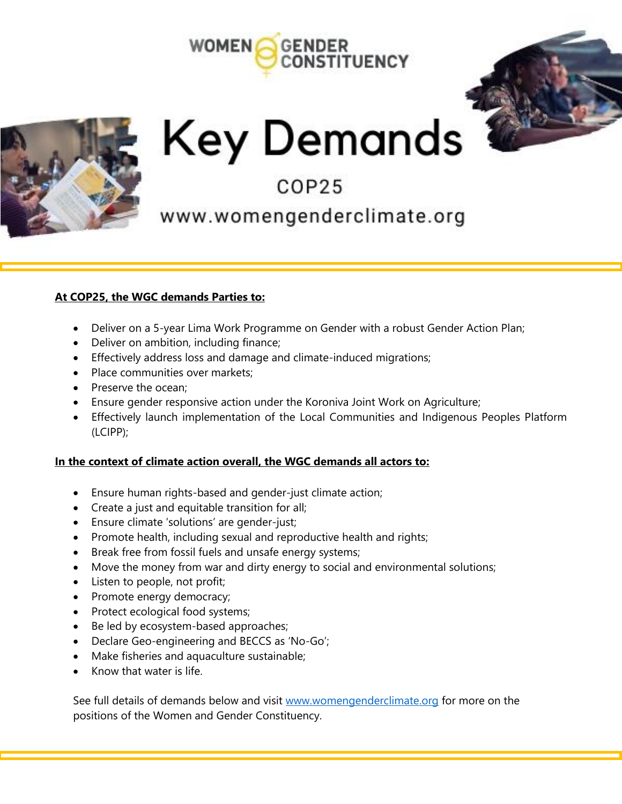



# Key Demands

# COP25

# www.womengenderclimate.org

#### **At COP25, the WGC demands Parties to:**

- Deliver on a 5-year Lima Work Programme on Gender with a robust Gender Action Plan;
- Deliver on ambition, including finance;
- Effectively address loss and damage and climate-induced migrations;
- Place communities over markets;
- Preserve the ocean:
- Ensure gender responsive action under the Koroniva Joint Work on Agriculture;
- Effectively launch implementation of the Local Communities and Indigenous Peoples Platform (LCIPP);

#### **In the context of climate action overall, the WGC demands all actors to:**

- Ensure human rights-based and gender-just climate action;
- Create a just and equitable transition for all;
- Ensure climate 'solutions' are gender-just;
- Promote health, including sexual and reproductive health and rights;
- Break free from fossil fuels and unsafe energy systems;
- Move the money from war and dirty energy to social and environmental solutions;
- Listen to people, not profit;
- Promote energy democracy;
- Protect ecological food systems;
- Be led by ecosystem-based approaches;
- Declare Geo-engineering and BECCS as 'No-Go';
- Make fisheries and aquaculture sustainable;
- Know that water is life.

See full details of demands below and visit [www.womengenderclimate.org](http://www.womengenderclimate.org/) for more on the positions of the Women and Gender Constituency.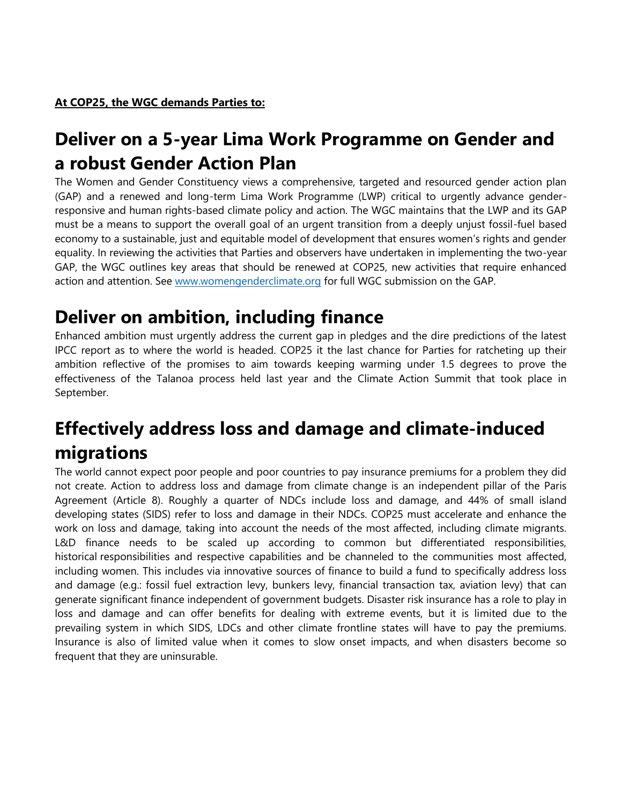# **Deliver on a 5-year Lima Work Programme on Gender and a robust Gender Action Plan**

The Women and Gender Constituency views a comprehensive, targeted and resourced gender action plan (GAP) and a renewed and long-term Lima Work Programme (LWP) critical to urgently advance genderresponsive and human rights-based climate policy and action. The WGC maintains that the LWP and its GAP must be a means to support the overall goal of an urgent transition from a deeply unjust fossil-fuel based economy to a sustainable, just and equitable model of development that ensures women's rights and gender equality. In reviewing the activities that Parties and observers have undertaken in implementing the two-year GAP, the WGC outlines key areas that should be renewed at COP25, new activities that require enhanced action and attention. See [www.womengenderclimate.org](http://www.womengenderclimate.org/) for full WGC submission on the GAP.

# **Deliver on ambition, including finance**

Enhanced ambition must urgently address the current gap in pledges and the dire predictions of the latest IPCC report as to where the world is headed. COP25 it the last chance for Parties for ratcheting up their ambition reflective of the promises to aim towards keeping warming under 1.5 degrees to prove the effectiveness of the Talanoa process held last year and the Climate Action Summit that took place in September.

# **Effectively address loss and damage and climate-induced migrations**

The world cannot expect poor people and poor countries to pay insurance premiums for a problem they did not create. Action to address loss and damage from climate change is an independent pillar of the Paris Agreement (Article 8). Roughly a quarter of NDCs include loss and damage, and 44% of small island developing states (SIDS) refer to loss and damage in their NDCs. COP25 must accelerate and enhance the work on loss and damage, taking into account the needs of the most affected, including climate migrants. L&D finance needs to be scaled up according to common but differentiated responsibilities, historical responsibilities and respective capabilities and be channeled to the communities most affected, including women. This includes via innovative sources of finance to build a fund to specifically address loss and damage (e.g.: fossil fuel extraction levy, bunkers levy, financial transaction tax, aviation levy) that can generate significant finance independent of government budgets. Disaster risk insurance has a role to play in loss and damage and can offer benefits for dealing with extreme events, but it is limited due to the prevailing system in which SIDS, LDCs and other climate frontline states will have to pay the premiums. Insurance is also of limited value when it comes to slow onset impacts, and when disasters become so frequent that they are uninsurable.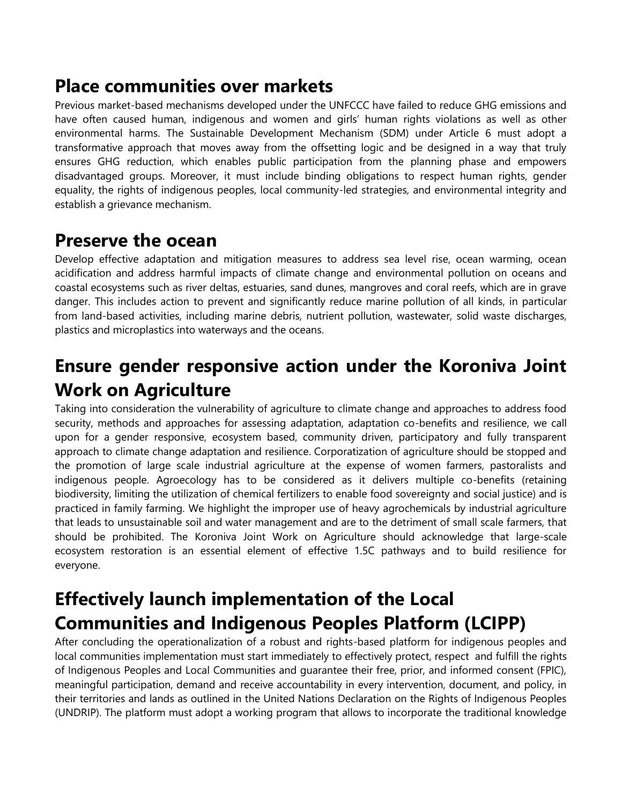## **Place communities over markets**

Previous market-based mechanisms developed under the UNFCCC have failed to reduce GHG emissions and have often caused human, indigenous and women and girls' human rights violations as well as other environmental harms. The Sustainable Development Mechanism (SDM) under Article 6 must adopt a transformative approach that moves away from the offsetting logic and be designed in a way that truly ensures GHG reduction, which enables public participation from the planning phase and empowers disadvantaged groups. Moreover, it must include binding obligations to respect human rights, gender equality, the rights of indigenous peoples, local community-led strategies, and environmental integrity and establish a grievance mechanism.

#### **Preserve the ocean**

Develop effective adaptation and mitigation measures to address sea level rise, ocean warming, ocean acidification and address harmful impacts of climate change and environmental pollution on oceans and coastal ecosystems such as river deltas, estuaries, sand dunes, mangroves and coral reefs, which are in grave danger. This includes action to prevent and significantly reduce marine pollution of all kinds, in particular from land-based activities, including marine debris, nutrient pollution, wastewater, solid waste discharges, plastics and microplastics into waterways and the oceans.

# **Ensure gender responsive action under the Koroniva Joint Work on Agriculture**

Taking into consideration the vulnerability of agriculture to climate change and approaches to address food security, methods and approaches for assessing adaptation, adaptation co-benefits and resilience, we call upon for a gender responsive, ecosystem based, community driven, participatory and fully transparent approach to climate change adaptation and resilience. Corporatization of agriculture should be stopped and the promotion of large scale industrial agriculture at the expense of women farmers, pastoralists and indigenous people. Agroecology has to be considered as it delivers multiple co-benefits (retaining biodiversity, limiting the utilization of chemical fertilizers to enable food sovereignty and social justice) and is practiced in family farming. We highlight the improper use of heavy agrochemicals by industrial agriculture that leads to unsustainable soil and water management and are to the detriment of small scale farmers, that should be prohibited. The Koroniva Joint Work on Agriculture should acknowledge that large-scale ecosystem restoration is an essential element of effective 1.5C pathways and to build resilience for everyone.

# **Effectively launch implementation of the Local Communities and Indigenous Peoples Platform (LCIPP)**

After concluding the operationalization of a robust and rights-based platform for indigenous peoples and local communities implementation must start immediately to effectively protect, respect and fulfill the rights of Indigenous Peoples and Local Communities and guarantee their free, prior, and informed consent (FPIC), meaningful participation, demand and receive accountability in every intervention, document, and policy, in their territories and lands as outlined in the United Nations Declaration on the Rights of Indigenous Peoples (UNDRIP). The platform must adopt a working program that allows to incorporate the traditional knowledge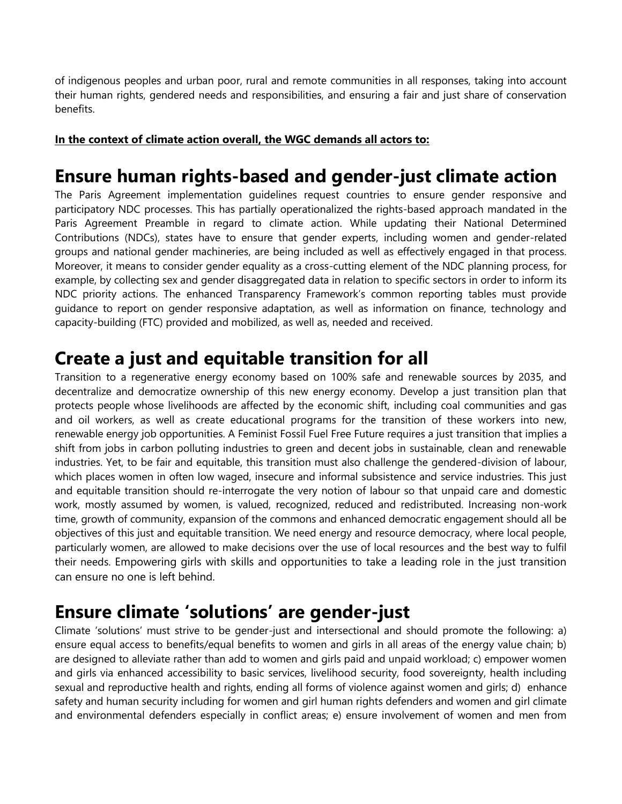of indigenous peoples and urban poor, rural and remote communities in all responses, taking into account their human rights, gendered needs and responsibilities, and ensuring a fair and just share of conservation benefits.

#### **In the context of climate action overall, the WGC demands all actors to:**

## **Ensure human rights-based and gender-just climate action**

The Paris Agreement implementation guidelines request countries to ensure gender responsive and participatory NDC processes. This has partially operationalized the rights-based approach mandated in the Paris Agreement Preamble in regard to climate action. While updating their National Determined Contributions (NDCs), states have to ensure that gender experts, including women and gender-related groups and national gender machineries, are being included as well as effectively engaged in that process. Moreover, it means to consider gender equality as a cross-cutting element of the NDC planning process, for example, by collecting sex and gender disaggregated data in relation to specific sectors in order to inform its NDC priority actions. The enhanced Transparency Framework's common reporting tables must provide guidance to report on gender responsive adaptation, as well as information on finance, technology and capacity-building (FTC) provided and mobilized, as well as, needed and received.

#### **Create a just and equitable transition for all**

Transition to a regenerative energy economy based on 100% safe and renewable sources by 2035, and decentralize and democratize ownership of this new energy economy. Develop a just transition plan that protects people whose livelihoods are affected by the economic shift, including coal communities and gas and oil workers, as well as create educational programs for the transition of these workers into new, renewable energy job opportunities. A Feminist Fossil Fuel Free Future requires a just transition that implies a shift from jobs in carbon polluting industries to green and decent jobs in sustainable, clean and renewable industries. Yet, to be fair and equitable, this transition must also challenge the gendered-division of labour, which places women in often low waged, insecure and informal subsistence and service industries. This just and equitable transition should re-interrogate the very notion of labour so that unpaid care and domestic work, mostly assumed by women, is valued, recognized, reduced and redistributed. Increasing non-work time, growth of community, expansion of the commons and enhanced democratic engagement should all be objectives of this just and equitable transition. We need energy and resource democracy, where local people, particularly women, are allowed to make decisions over the use of local resources and the best way to fulfil their needs. Empowering girls with skills and opportunities to take a leading role in the just transition can ensure no one is left behind.

## **Ensure climate 'solutions' are gender-just**

Climate 'solutions' must strive to be gender-just and intersectional and should promote the following: a) ensure equal access to benefits/equal benefits to women and girls in all areas of the energy value chain; b) are designed to alleviate rather than add to women and girls paid and unpaid workload; c) empower women and girls via enhanced accessibility to basic services, livelihood security, food sovereignty, health including sexual and reproductive health and rights, ending all forms of violence against women and girls; d) enhance safety and human security including for women and girl human rights defenders and women and girl climate and environmental defenders especially in conflict areas; e) ensure involvement of women and men from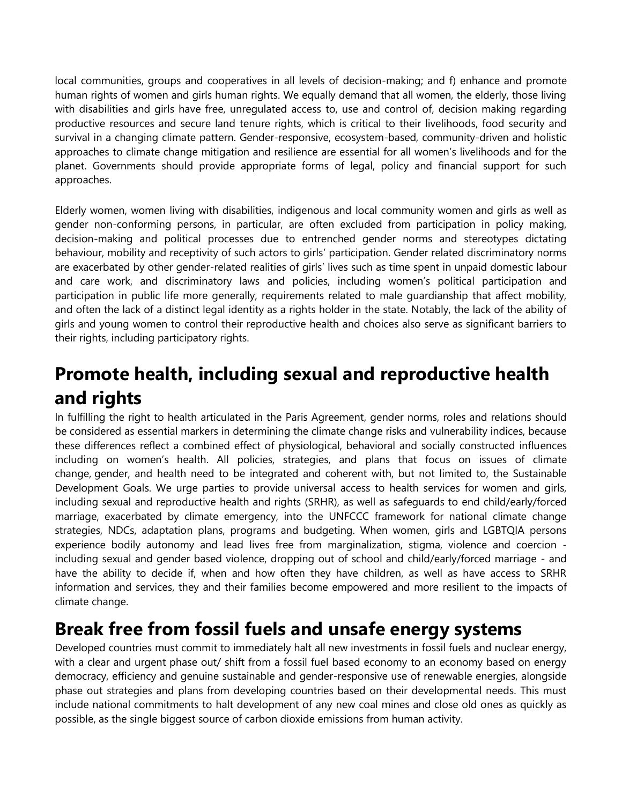local communities, groups and cooperatives in all levels of decision-making; and f) enhance and promote human rights of women and girls human rights. We equally demand that all women, the elderly, those living with disabilities and girls have free, unregulated access to, use and control of, decision making regarding productive resources and secure land tenure rights, which is critical to their livelihoods, food security and survival in a changing climate pattern. Gender-responsive, ecosystem-based, community-driven and holistic approaches to climate change mitigation and resilience are essential for all women's livelihoods and for the planet. Governments should provide appropriate forms of legal, policy and financial support for such approaches.

Elderly women, women living with disabilities, indigenous and local community women and girls as well as gender non-conforming persons, in particular, are often excluded from participation in policy making, decision-making and political processes due to entrenched gender norms and stereotypes dictating behaviour, mobility and receptivity of such actors to girls' participation. Gender related discriminatory norms are exacerbated by other gender-related realities of girls' lives such as time spent in unpaid domestic labour and care work, and discriminatory laws and policies, including women's political participation and participation in public life more generally, requirements related to male guardianship that affect mobility, and often the lack of a distinct legal identity as a rights holder in the state. Notably, the lack of the ability of girls and young women to control their reproductive health and choices also serve as significant barriers to their rights, including participatory rights.

# **Promote health, including sexual and reproductive health and rights**

In fulfilling the right to health articulated in the Paris Agreement, gender norms, roles and relations should be considered as essential markers in determining the climate change risks and vulnerability indices, because these differences reflect a combined effect of physiological, behavioral and socially constructed influences including on women's health. All policies, strategies, and plans that focus on issues of climate change, gender, and health need to be integrated and coherent with, but not limited to, the Sustainable Development Goals. We urge parties to provide universal access to health services for women and girls, including sexual and reproductive health and rights (SRHR), as well as safeguards to end child/early/forced marriage, exacerbated by climate emergency, into the UNFCCC framework for national climate change strategies, NDCs, adaptation plans, programs and budgeting. When women, girls and LGBTQIA persons experience bodily autonomy and lead lives free from marginalization, stigma, violence and coercion including sexual and gender based violence, dropping out of school and child/early/forced marriage - and have the ability to decide if, when and how often they have children, as well as have access to SRHR information and services, they and their families become empowered and more resilient to the impacts of climate change.

## **Break free from fossil fuels and unsafe energy systems**

Developed countries must commit to immediately halt all new investments in fossil fuels and nuclear energy, with a clear and urgent phase out/ shift from a fossil fuel based economy to an economy based on energy democracy, efficiency and genuine sustainable and gender-responsive use of renewable energies, alongside phase out strategies and plans from developing countries based on their developmental needs. This must include national commitments to halt development of any new coal mines and close old ones as quickly as possible, as the single biggest source of carbon dioxide emissions from human activity.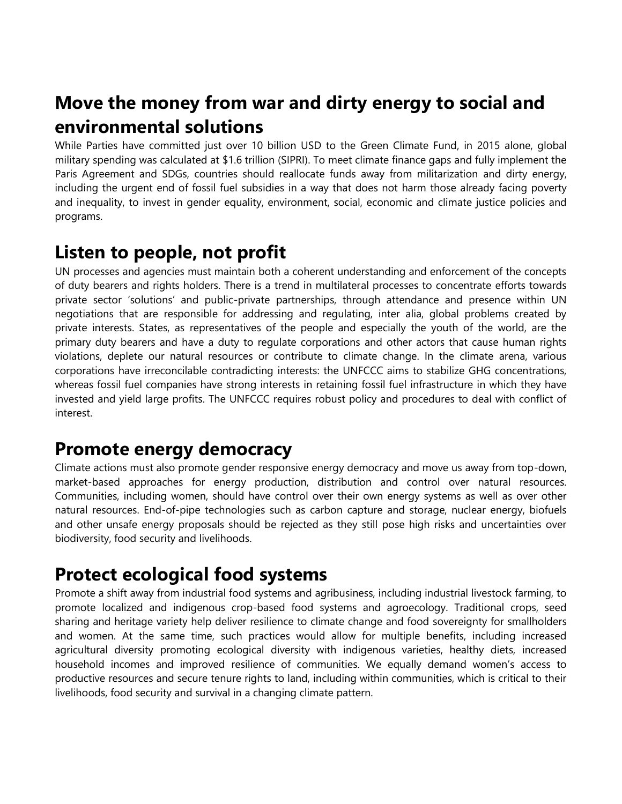# **Move the money from war and dirty energy to social and environmental solutions**

While Parties have committed just over 10 billion USD to the Green Climate Fund, in 2015 alone, global military spending was calculated at \$1.6 trillion (SIPRI). To meet climate finance gaps and fully implement the Paris Agreement and SDGs, countries should reallocate funds away from militarization and dirty energy, including the urgent end of fossil fuel subsidies in a way that does not harm those already facing poverty and inequality, to invest in gender equality, environment, social, economic and climate justice policies and programs.

## **Listen to people, not profit**

UN processes and agencies must maintain both a coherent understanding and enforcement of the concepts of duty bearers and rights holders. There is a trend in multilateral processes to concentrate efforts towards private sector 'solutions' and public-private partnerships, through attendance and presence within UN negotiations that are responsible for addressing and regulating, inter alia, global problems created by private interests. States, as representatives of the people and especially the youth of the world, are the primary duty bearers and have a duty to regulate corporations and other actors that cause human rights violations, deplete our natural resources or contribute to climate change. In the climate arena, various corporations have irreconcilable contradicting interests: the UNFCCC aims to stabilize GHG concentrations, whereas fossil fuel companies have strong interests in retaining fossil fuel infrastructure in which they have invested and yield large profits. The UNFCCC requires robust policy and procedures to deal with conflict of interest.

## **Promote energy democracy**

Climate actions must also promote gender responsive energy democracy and move us away from top-down, market-based approaches for energy production, distribution and control over natural resources. Communities, including women, should have control over their own energy systems as well as over other natural resources. End-of-pipe technologies such as carbon capture and storage, nuclear energy, biofuels and other unsafe energy proposals should be rejected as they still pose high risks and uncertainties over biodiversity, food security and livelihoods.

# **Protect ecological food systems**

Promote a shift away from industrial food systems and agribusiness, including industrial livestock farming, to promote localized and indigenous crop-based food systems and agroecology. Traditional crops, seed sharing and heritage variety help deliver resilience to climate change and food sovereignty for smallholders and women. At the same time, such practices would allow for multiple benefits, including increased agricultural diversity promoting ecological diversity with indigenous varieties, healthy diets, increased household incomes and improved resilience of communities. We equally demand women's access to productive resources and secure tenure rights to land, including within communities, which is critical to their livelihoods, food security and survival in a changing climate pattern.